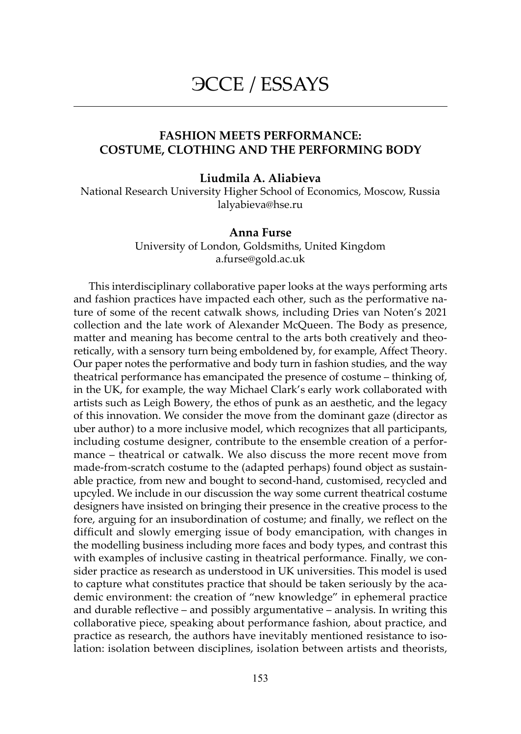# ЭССЕ / ESSAYS

## FASHION MEETS PERFORMANCE: COSTUME, CLOTHING AND THE PERFORMING BODY

#### Liudmila A. Aliabieva

National Research University Higher School of Economics, Moscow, Russia lalyabieva@hse.ru

#### Anna Furse

University of London, Goldsmiths, United Kingdom a.furse@gold.ac.uk

This interdisciplinary collaborative paper looks at the ways performing arts and fashion practices have impacted each other, such as the performative nature of some of the recent catwalk shows, including Dries van Noten's 2021 collection and the late work of Alexander McQueen. The Body as presence, matter and meaning has become central to the arts both creatively and theoretically, with a sensory turn being emboldened by, for example, Affect Theory. Our paper notes the performative and body turn in fashion studies, and the way theatrical performance has emancipated the presence of costume – thinking of, in the UK, for example, the way Michael Clark's early work collaborated with artists such as Leigh Bowery, the ethos of punk as an aesthetic, and the legacy of this innovation. We consider the move from the dominant gaze (director as uber author) to a more inclusive model, which recognizes that all participants, including costume designer, contribute to the ensemble creation of a performance – theatrical or catwalk. We also discuss the more recent move from made-from-scratch costume to the (adapted perhaps) found object as sustainable practice, from new and bought to second-hand, customised, recycled and upcyled. We include in our discussion the way some current theatrical costume designers have insisted on bringing their presence in the creative process to the fore, arguing for an insubordination of costume; and finally, we reflect on the difficult and slowly emerging issue of body emancipation, with changes in the modelling business including more faces and body types, and contrast this with examples of inclusive casting in theatrical performance. Finally, we consider practice as research as understood in UK universities. This model is used to capture what constitutes practice that should be taken seriously by the academic environment: the creation of "new knowledge" in ephemeral practice and durable reflective – and possibly argumentative – analysis. In writing this collaborative piece, speaking about performance fashion, about practice, and practice as research, the authors have inevitably mentioned resistance to isolation: isolation between disciplines, isolation between artists and theorists,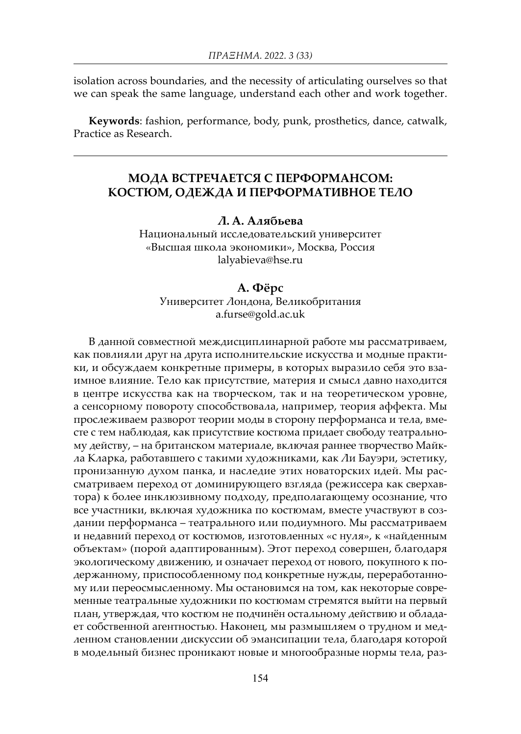isolation across boundaries, and the necessity of articulating ourselves so that we can speak the same language, understand each other and work together.

Keywords: fashion, performance, body, punk, prosthetics, dance, catwalk, Practice as Research.

# МОДА ВСТРЕЧАЕТСЯ С ПЕРФОРМАНСОМ: КОСТЮМ, ОДЕЖДА И ПЕРФОРМАТИВНОЕ ТЕЛО

## Л. А. Алябьева

Национальный исследовательский университет «Высшая школа экономики», Москва, Россия lalyabieva@hse.ru

## А. Фёрс

Университет Лондона, Великобритания a.furse@gold.ac.uk

В данной совместной междисциплинарной работе мы рассматриваем, как повлияли друг на друга исполнительские искусства и модные практики, и обсуждаем конкретные примеры, в которых выразило себя это взаимное влияние. Тело как присутствие, материя и смысл давно находится в центре искусства как на творческом, так и на теоретическом уровне, а сенсорному повороту способствовала, например, теория аффекта. Мы прослеживаем разворот теории моды в сторону перформанса и тела, вместе с тем наблюдая, как присутствие костюма придает свободу театральному действу, – на британском материале, включая раннее творчество Майкла Кларка, работавшего с такими художниками, как Ли Бауэри, эстетику, пронизанную духом панка, и наследие этих новаторских идей. Мы рассматриваем переход от доминирующего взгляда (режиссера как сверхавтора) к более инклюзивному подходу, предполагающему осознание, что все участники, включая художника по костюмам, вместе участвуют в создании перформанса – театрального или подиумного. Мы рассматриваем и недавний переход от костюмов, изготовленных «с нуля», к «найденным объектам» (порой адаптированным). Этот переход совершен, благодаря экологическому движению, и означает переход от нового, покупного к подержанному, приспособленному под конкретные нужды, переработанному или переосмысленному. Мы остановимся на том, как некоторые современные театральные художники по костюмам стремятся выйти на первый план, утверждая, что костюм не подчинён остальному действию и обладает собственной агентностью. Наконец, мы размышляем о трудном и медленном становлении дискуссии об эмансипации тела, благодаря которой в модельный бизнес проникают новые и многообразные нормы тела, раз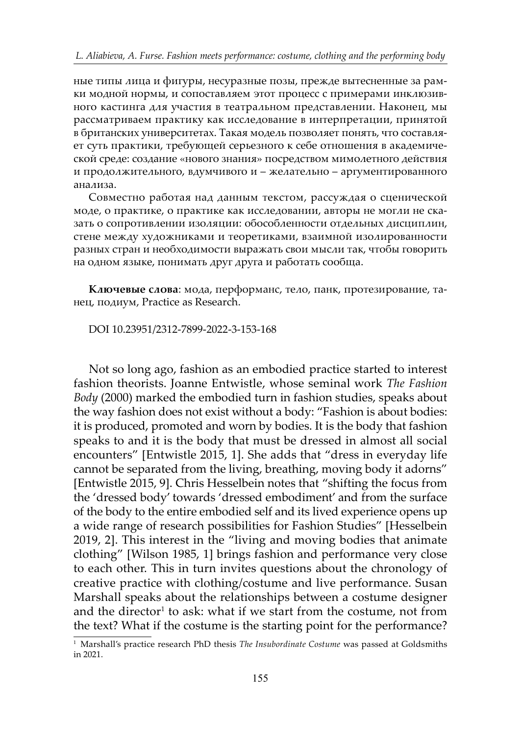ные типы лица и фигуры, несуразные позы, прежде вытесненные за рамки модной нормы, и сопоставляем этот процесс с примерами инклюзивного кастинга для участия в театральном представлении. Наконец, мы рассматриваем практику как исследование в интерпретации, принятой в британских университетах. Такая модель позволяет понять, что составляет суть практики, требующей серьезного к себе отношения в академической среде: создание «нового знания» посредством мимолетного действия и продолжительного, вдумчивого и – желательно – аргументированного анализа.

Совместно работая над данным текстом, рассуждая о сценической моде, о практике, о практике как исследовании, авторы не могли не сказать о сопротивлении изоляции: обособленности отдельных дисциплин, стене между художниками и теоретиками, взаимной изолированности разных стран и необходимости выражать свои мысли так, чтобы говорить на одном языке, понимать друг друга и работать сообща.

Ключевые слова: мода, перформанс, тело, панк, протезирование, танец, подиум, Practice as Research.

DOI 10.23951/2312-7899-2022-3-153-168

Not so long ago, fashion as an embodied practice started to interest fashion theorists. Joanne Entwistle, whose seminal work *The Fashion Body* (2000) marked the embodied turn in fashion studies, speaks about the way fashion does not exist without a body: "Fashion is about bodies: it is produced, promoted and worn by bodies. It is the body that fashion speaks to and it is the body that must be dressed in almost all social encounters" [Entwistle 2015, 1]. She adds that "dress in everyday life cannot be separated from the living, breathing, moving body it adorns" [Entwistle 2015, 9]. Chris Hesselbein notes that "shifting the focus from the 'dressed body' towards 'dressed embodiment' and from the surface of the body to the entire embodied self and its lived experience opens up a wide range of research possibilities for Fashion Studies" [Hesselbein 2019, 2]. This interest in the "living and moving bodies that animate clothing" [Wilson 1985, 1] brings fashion and performance very close to each other. This in turn invites questions about the chronology of creative practice with clothing/costume and live performance. Susan Marshall speaks about the relationships between a costume designer and the director $^1$  to ask: what if we start from the costume, not from the text? What if the costume is the starting point for the performance?

<sup>1</sup> Marshall's practice research PhD thesis *The Insubordinate Costume* was passed at Goldsmiths in 2021.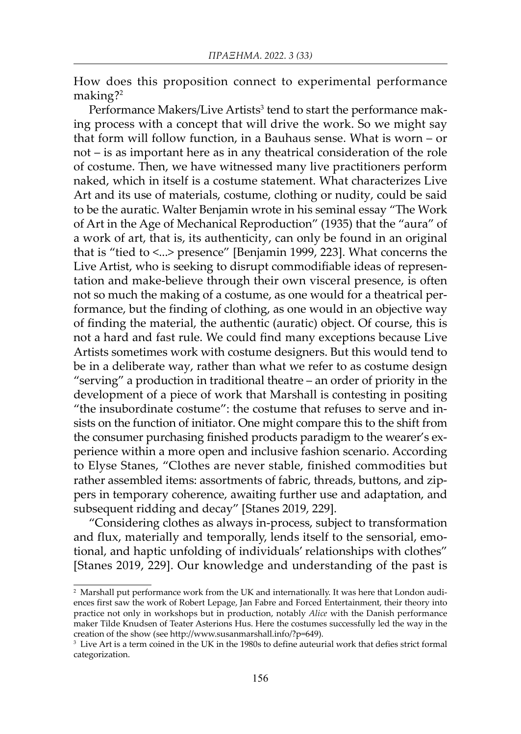How does this proposition connect to experimental performance making?<sup>2</sup>

Performance Makers/Live Artists<sup>3</sup> tend to start the performance making process with a concept that will drive the work. So we might say that form will follow function, in a Bauhaus sense. What is worn – or not – is as important here as in any theatrical consideration of the role of costume. Then, we have witnessed many live practitioners perform naked, which in itself is a costume statement. What characterizes Live Art and its use of materials, costume, clothing or nudity, could be said to be the auratic. Walter Benjamin wrote in his seminal essay "The Work of Art in the Age of Mechanical Reproduction" (1935) that the "aura" of a work of art, that is, its authenticity, can only be found in an original that is "tied to <...> presence" [Benjamin 1999, 223]. What concerns the Live Artist, who is seeking to disrupt commodifiable ideas of representation and make-believe through their own visceral presence, is often not so much the making of a costume, as one would for a theatrical performance, but the finding of clothing, as one would in an objective way of finding the material, the authentic (auratic) object. Of course, this is not a hard and fast rule. We could find many exceptions because Live Artists sometimes work with costume designers. But this would tend to be in a deliberate way, rather than what we refer to as costume design "serving" a production in traditional theatre – an order of priority in the development of a piece of work that Marshall is contesting in positing "the insubordinate costume": the costume that refuses to serve and insists on the function of initiator. One might compare this to the shift from the consumer purchasing finished products paradigm to the wearer's experience within a more open and inclusive fashion scenario. According to Elyse Stanes, "Clothes are never stable, finished commodities but rather assembled items: assortments of fabric, threads, buttons, and zippers in temporary coherence, awaiting further use and adaptation, and subsequent ridding and decay" [Stanes 2019, 229].

"Considering clothes as always in-process, subject to transformation and flux, materially and temporally, lends itself to the sensorial, emotional, and haptic unfolding of individuals' relationships with clothes" [Stanes 2019, 229]. Our knowledge and understanding of the past is

 $^{\rm 2}$  Marshall put performance work from the UK and internationally. It was here that London audiences first saw the work of Robert Lepage, Jan Fabre and Forced Entertainment, their theory into practice not only in workshops but in production, notably *Alice* with the Danish performance maker Tilde Knudsen of Teater Asterions Hus. Here the costumes successfully led the way in the creation of the show (see http://www.susanmarshall.info/?p=649).

<sup>3</sup> Live Art is a term coined in the UK in the 1980s to define auteurial work that defies strict formal categorization.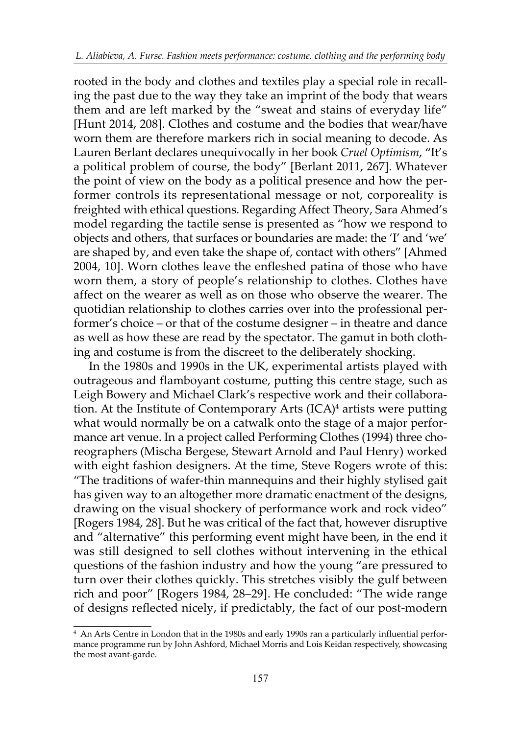rooted in the body and clothes and textiles play a special role in recalling the past due to the way they take an imprint of the body that wears them and are left marked by the "sweat and stains of everyday life" [Hunt 2014, 208]. Clothes and costume and the bodies that wear/have worn them are therefore markers rich in social meaning to decode. As Lauren Berlant declares unequivocally in her book *Cruel Optimism*, "It's a political problem of course, the body" [Berlant 2011, 267]. Whatever the point of view on the body as a political presence and how the performer controls its representational message or not, corporeality is freighted with ethical questions. Regarding Affect Theory, Sara Ahmed's model regarding the tactile sense is presented as "how we respond to objects and others, that surfaces or boundaries are made: the 'I' and 'we' are shaped by, and even take the shape of, contact with others" [Ahmed 2004, 10]. Worn clothes leave the enfleshed patina of those who have worn them, a story of people's relationship to clothes. Clothes have affect on the wearer as well as on those who observe the wearer. The quotidian relationship to clothes carries over into the professional performer's choice – or that of the costume designer – in theatre and dance as well as how these are read by the spectator. The gamut in both clothing and costume is from the discreet to the deliberately shocking.

In the 1980s and 1990s in the UK, experimental artists played with outrageous and flamboyant costume, putting this centre stage, such as Leigh Bowery and Michael Clark's respective work and their collaboration. At the Institute of Contemporary Arts (ICA)<sup>4</sup> artists were putting what would normally be on a catwalk onto the stage of a major performance art venue. In a project called Performing Clothes (1994) three choreographers (Mischa Bergese, Stewart Arnold and Paul Henry) worked with eight fashion designers. At the time, Steve Rogers wrote of this: "The traditions of wafer-thin mannequins and their highly stylised gait has given way to an altogether more dramatic enactment of the designs, drawing on the visual shockery of performance work and rock video" [Rogers 1984, 28]. But he was critical of the fact that, however disruptive and "alternative" this performing event might have been, in the end it was still designed to sell clothes without intervening in the ethical questions of the fashion industry and how the young "are pressured to turn over their clothes quickly. This stretches visibly the gulf between rich and poor" [Rogers 1984, 28–29]. He concluded: "The wide range of designs reflected nicely, if predictably, the fact of our post-modern

<sup>4</sup> An Arts Centre in London that in the 1980s and early 1990s ran a particularly influential performance programme run by John Ashford, Michael Morris and Lois Keidan respectively, showcasing the most avant-garde.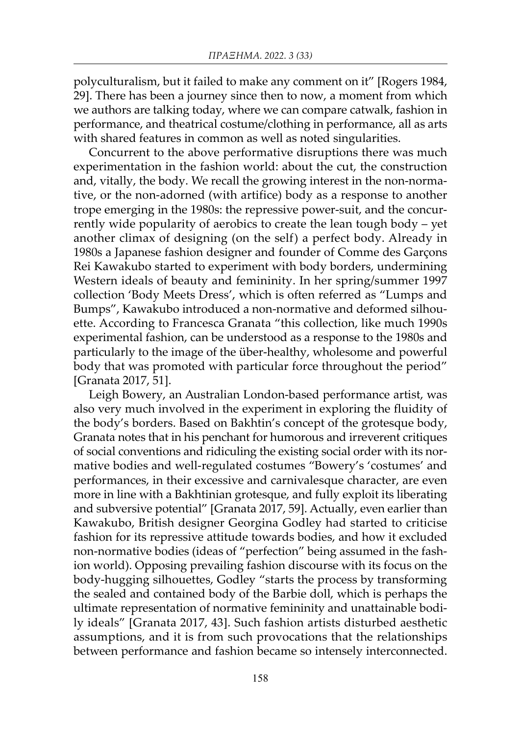polyculturalism, but it failed to make any comment on it" [Rogers 1984, 29]. There has been a journey since then to now, a moment from which we authors are talking today, where we can compare catwalk, fashion in performance, and theatrical costume/clothing in performance, all as arts with shared features in common as well as noted singularities.

Concurrent to the above performative disruptions there was much experimentation in the fashion world: about the cut, the construction and, vitally, the body. We recall the growing interest in the non-normative, or the non-adorned (with artifice) body as a response to another trope emerging in the 1980s: the repressive power-suit, and the concurrently wide popularity of aerobics to create the lean tough body – yet another climax of designing (on the self) a perfect body. Already in 1980s a Japanese fashion designer and founder of Comme des Garçons Rei Kawakubo started to experiment with body borders, undermining Western ideals of beauty and femininity. In her spring/summer 1997 collection 'Body Meets Dress', which is often referred as "Lumps and Bumps", Kawakubo introduced a non-normative and deformed silhouette. According to Francesca Granata "this collection, like much 1990s experimental fashion, can be understood as a response to the 1980s and particularly to the image of the über-healthy, wholesome and powerful body that was promoted with particular force throughout the period" [Granata 2017, 51].

Leigh Bowery, an Australian London-based performance artist, was also very much involved in the experiment in exploring the fluidity of the body's borders. Based on Bakhtin's concept of the grotesque body, Granata notes that in his penchant for humorous and irreverent critiques of social conventions and ridiculing the existing social order with its normative bodies and well-regulated costumes "Bowery's 'costumes' and performances, in their excessive and carnivalesque character, are even more in line with a Bakhtinian grotesque, and fully exploit its liberating and subversive potential" [Granata 2017, 59]. Actually, even earlier than Kawakubo, British designer Georgina Godley had started to criticise fashion for its repressive attitude towards bodies, and how it excluded non-normative bodies (ideas of "perfection" being assumed in the fashion world). Opposing prevailing fashion discourse with its focus on the body-hugging silhouettes, Godley "starts the process by transforming the sealed and contained body of the Barbie doll, which is perhaps the ultimate representation of normative femininity and unattainable bodily ideals" [Granata 2017, 43]. Such fashion artists disturbed aesthetic assumptions, and it is from such provocations that the relationships between performance and fashion became so intensely interconnected.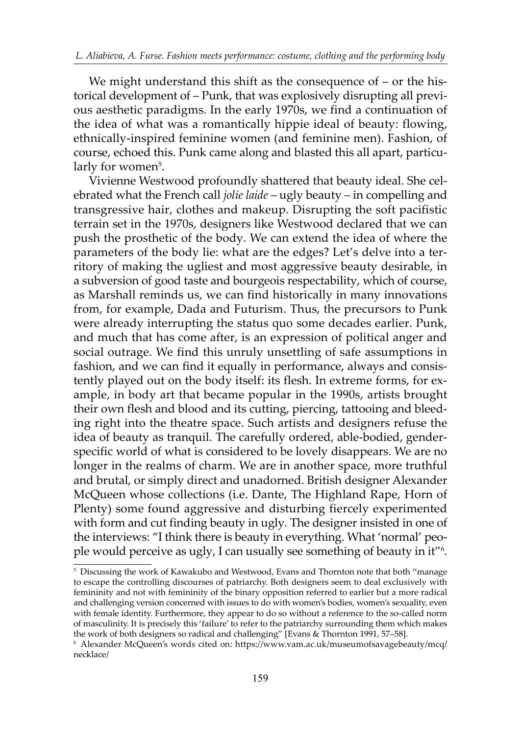We might understand this shift as the consequence of – or the historical development of – Punk, that was explosively disrupting all previous aesthetic paradigms. In the early 1970s, we find a continuation of the idea of what was a romantically hippie ideal of beauty: flowing, ethnically-inspired feminine women (and feminine men). Fashion, of course, echoed this. Punk came along and blasted this all apart, particularly for women<sup>5</sup>.

Vivienne Westwood profoundly shattered that beauty ideal. She celebrated what the French call *jolie laide* – ugly beauty – in compelling and transgressive hair, clothes and makeup. Disrupting the soft pacifistic terrain set in the 1970s, designers like Westwood declared that we can push the prosthetic of the body. We can extend the idea of where the parameters of the body lie: what are the edges? Let's delve into a territory of making the ugliest and most aggressive beauty desirable, in a subversion of good taste and bourgeois respectability, which of course, as Marshall reminds us, we can find historically in many innovations from, for example, Dada and Futurism. Thus, the precursors to Punk were already interrupting the status quo some decades earlier. Punk, and much that has come after, is an expression of political anger and social outrage. We find this unruly unsettling of safe assumptions in fashion, and we can find it equally in performance, always and consistently played out on the body itself: its flesh. In extreme forms, for example, in body art that became popular in the 1990s, artists brought their own flesh and blood and its cutting, piercing, tattooing and bleeding right into the theatre space. Such artists and designers refuse the idea of beauty as tranquil. The carefully ordered, able-bodied, genderspecific world of what is considered to be lovely disappears. We are no longer in the realms of charm. We are in another space, more truthful and brutal, or simply direct and unadorned. British designer Alexander McQueen whose collections (i.e. Dante, The Highland Rape, Horn of Plenty) some found aggressive and disturbing fiercely experimented with form and cut finding beauty in ugly. The designer insisted in one of the interviews: "I think there is beauty in everything. What 'normal' people would perceive as ugly, I can usually see something of beauty in it"6 .

 $^{\rm 5}$  Discussing the work of Kawakubo and Westwood, Evans and Thornton note that both "manage to escape the controlling discourses of patriarchy. Both designers seem to deal exclusively with femininity and not with femininity of the binary opposition referred to earlier but a more radical and challenging version concerned with issues to do with women's bodies, women's sexuality, even with female identity. Furthermore, they appear to do so without a reference to the so-called norm of masculinity. It is precisely this 'failure' to refer to the patriarchy surrounding them which makes the work of both designers so radical and challenging" [Evans & Thornton 1991, 57–58].

 $^{\rm 6}$  Alexander McQueen's words cited on: https://www.vam.ac.uk/museumofsavagebeauty/mcq/ necklace/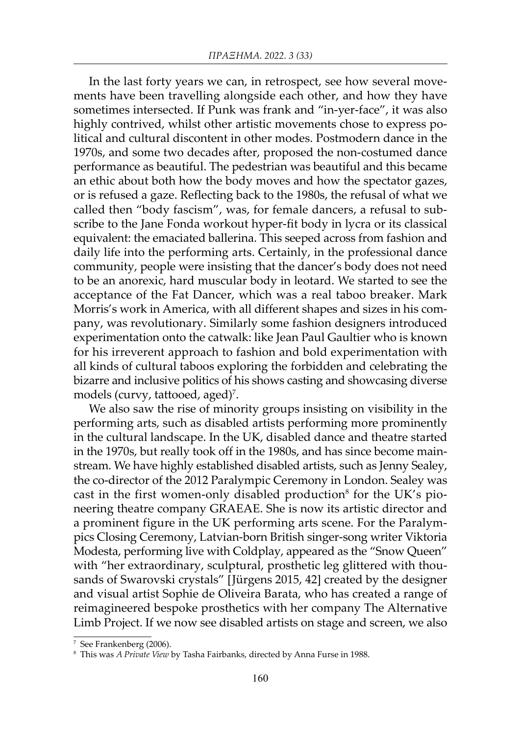In the last forty years we can, in retrospect, see how several movements have been travelling alongside each other, and how they have sometimes intersected. If Punk was frank and "in-yer-face", it was also highly contrived, whilst other artistic movements chose to express political and cultural discontent in other modes. Postmodern dance in the 1970s, and some two decades after, proposed the non-costumed dance performance as beautiful. The pedestrian was beautiful and this became an ethic about both how the body moves and how the spectator gazes, or is refused a gaze. Reflecting back to the 1980s, the refusal of what we called then "body fascism", was, for female dancers, a refusal to subscribe to the Jane Fonda workout hyper-fit body in lycra or its classical equivalent: the emaciated ballerina. This seeped across from fashion and daily life into the performing arts. Certainly, in the professional dance community, people were insisting that the dancer's body does not need to be an anorexic, hard muscular body in leotard. We started to see the acceptance of the Fat Dancer, which was a real taboo breaker. Mark Morris's work in America, with all different shapes and sizes in his company, was revolutionary. Similarly some fashion designers introduced experimentation onto the catwalk: like Jean Paul Gaultier who is known for his irreverent approach to fashion and bold experimentation with all kinds of cultural taboos exploring the forbidden and celebrating the bizarre and inclusive politics of his shows casting and showcasing diverse models (curvy, tattooed, aged)<sup>7</sup>.

We also saw the rise of minority groups insisting on visibility in the performing arts, such as disabled artists performing more prominently in the cultural landscape. In the UK, disabled dance and theatre started in the 1970s, but really took off in the 1980s, and has since become mainstream. We have highly established disabled artists, such as Jenny Sealey, the co-director of the 2012 Paralympic Ceremony in London. Sealey was cast in the first women-only disabled production<sup>8</sup> for the UK's pioneering theatre company GRAEAE. She is now its artistic director and a prominent figure in the UK performing arts scene. For the Paralympics Closing Ceremony, Latvian-born British singer-song writer Viktoria Modesta, performing live with Coldplay, appeared as the "Snow Queen" with "her extraordinary, sculptural, prosthetic leg glittered with thousands of Swarovski crystals" [Jürgens 2015, 42] created by the designer and visual artist Sophie de Oliveira Barata, who has created a range of reimagineered bespoke prosthetics with her company The Alternative Limb Project. If we now see disabled artists on stage and screen, we also

<sup>7</sup> See Frankenberg (2006).

<sup>8</sup> This was *A Private View* by Tasha Fairbanks, directed by Anna Furse in 1988.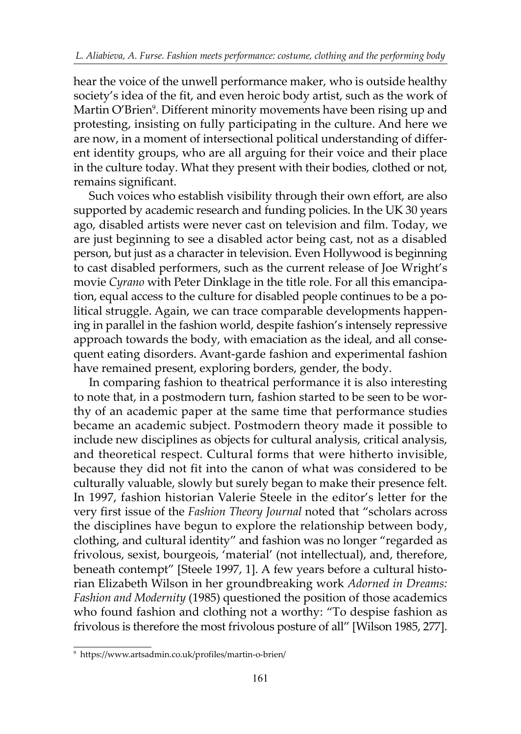hear the voice of the unwell performance maker, who is outside healthy society's idea of the fit, and even heroic body artist, such as the work of Martin O'Brien<sup>9</sup>. Different minority movements have been rising up and protesting, insisting on fully participating in the culture. And here we are now, in a moment of intersectional political understanding of different identity groups, who are all arguing for their voice and their place in the culture today. What they present with their bodies, clothed or not, remains significant.

Such voices who establish visibility through their own effort, are also supported by academic research and funding policies. In the UK 30 years ago, disabled artists were never cast on television and film. Today, we are just beginning to see a disabled actor being cast, not as a disabled person, but just as a character in television. Even Hollywood is beginning to cast disabled performers, such as the current release of Joe Wright's movie *Cyrano* with Peter Dinklage in the title role. For all this emancipation, equal access to the culture for disabled people continues to be a political struggle. Again, we can trace comparable developments happening in parallel in the fashion world, despite fashion's intensely repressive approach towards the body, with emaciation as the ideal, and all consequent eating disorders. Avant-garde fashion and experimental fashion have remained present, exploring borders, gender, the body.

In comparing fashion to theatrical performance it is also interesting to note that, in a postmodern turn, fashion started to be seen to be worthy of an academic paper at the same time that performance studies became an academic subject. Postmodern theory made it possible to include new disciplines as objects for cultural analysis, critical analysis, and theoretical respect. Cultural forms that were hitherto invisible, because they did not fit into the canon of what was considered to be culturally valuable, slowly but surely began to make their presence felt. In 1997, fashion historian Valerie Steele in the editor's letter for the very first issue of the *Fashion Theory Journal* noted that "scholars across the disciplines have begun to explore the relationship between body, clothing, and cultural identity" and fashion was no longer "regarded as frivolous, sexist, bourgeois, 'material' (not intellectual), and, therefore, beneath contempt" [Steele 1997, 1]. A few years before a cultural historian Elizabeth Wilson in her groundbreaking work *Adorned in Dreams: Fashion and Modernity* (1985) questioned the position of those academics who found fashion and clothing not a worthy: "To despise fashion as frivolous is therefore the most frivolous posture of all" [Wilson 1985, 277].

<sup>9</sup> https://www.artsadmin.co.uk/profiles/martin-o-brien/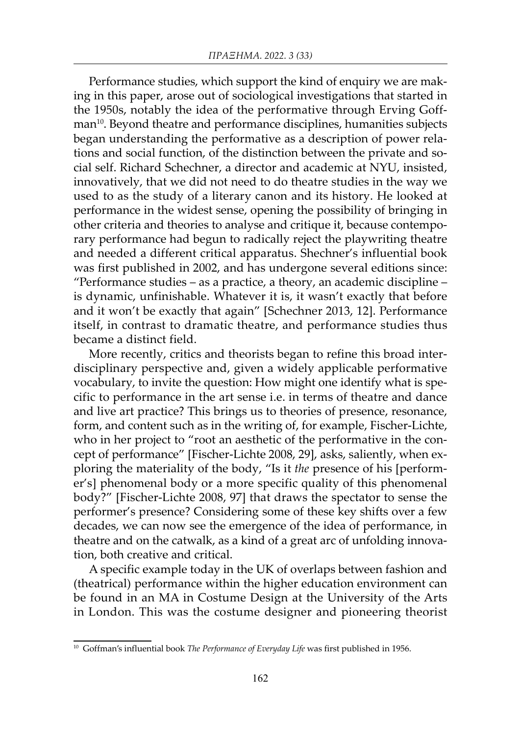Performance studies, which support the kind of enquiry we are making in this paper, arose out of sociological investigations that started in the 1950s, notably the idea of the performative through Erving Goffman<sup>10</sup>. Beyond theatre and performance disciplines, humanities subjects began understanding the performative as a description of power relations and social function, of the distinction between the private and social self. Richard Schechner, a director and academic at NYU, insisted, innovatively, that we did not need to do theatre studies in the way we used to as the study of a literary canon and its history. He looked at performance in the widest sense, opening the possibility of bringing in other criteria and theories to analyse and critique it, because contemporary performance had begun to radically reject the playwriting theatre and needed a different critical apparatus. Shechner's influential book was first published in 2002, and has undergone several editions since: "Performance studies – as a practice, a theory, an academic discipline – is dynamic, unfinishable. Whatever it is, it wasn't exactly that before and it won't be exactly that again" [Schechner 2013, 12]. Performance itself, in contrast to dramatic theatre, and performance studies thus became a distinct field.

More recently, critics and theorists began to refine this broad interdisciplinary perspective and, given a widely applicable performative vocabulary, to invite the question: How might one identify what is specific to performance in the art sense i.e. in terms of theatre and dance and live art practice? This brings us to theories of presence, resonance, form, and content such as in the writing of, for example, Fischer-Lichte, who in her project to "root an aesthetic of the performative in the concept of performance" [Fischer-Lichte 2008, 29], asks, saliently, when exploring the materiality of the body, "Is it *the* presence of his [performer's] phenomenal body or a more specific quality of this phenomenal body?" [Fischer-Lichte 2008, 97] that draws the spectator to sense the performer's presence? Considering some of these key shifts over a few decades, we can now see the emergence of the idea of performance, in theatre and on the catwalk, as a kind of a great arc of unfolding innovation, both creative and critical.

A specific example today in the UK of overlaps between fashion and (theatrical) performance within the higher education environment can be found in an MA in Costume Design at the University of the Arts in London. This was the costume designer and pioneering theorist

<sup>&</sup>lt;sup>10</sup> Goffman's influential book *The Performance of Everyday Life* was first published in 1956.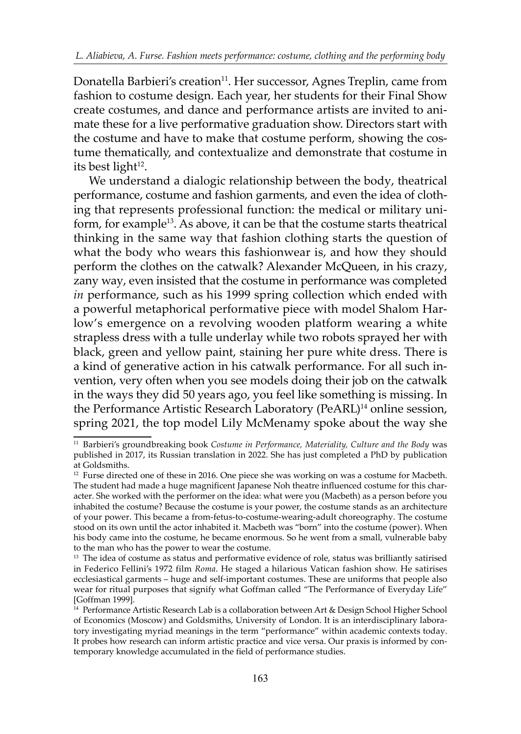Donatella Barbieri's creation<sup>11</sup>. Her successor, Agnes Treplin, came from fashion to costume design. Each year, her students for their Final Show create costumes, and dance and performance artists are invited to animate these for a live performative graduation show. Directors start with the costume and have to make that costume perform, showing the costume thematically, and contextualize and demonstrate that costume in its best light $12$ .

We understand a dialogic relationship between the body, theatrical performance, costume and fashion garments, and even the idea of clothing that represents professional function: the medical or military uniform, for example<sup>13</sup>. As above, it can be that the costume starts theatrical thinking in the same way that fashion clothing starts the question of what the body who wears this fashionwear is, and how they should perform the clothes on the catwalk? Alexander McQueen, in his crazy, zany way, even insisted that the costume in performance was completed *in* performance, such as his 1999 spring collection which ended with a powerful metaphorical performative piece with model Shalom Harlow's emergence on a revolving wooden platform wearing a white strapless dress with a tulle underlay while two robots sprayed her with black, green and yellow paint, staining her pure white dress. There is a kind of generative action in his catwalk performance. For all such invention, very often when you see models doing their job on the catwalk in the ways they did 50 years ago, you feel like something is missing. In the Performance Artistic Research Laboratory (PeARL)<sup>14</sup> online session, spring 2021, the top model Lily McMenamy spoke about the way she

<sup>11</sup> Barbieri's groundbreaking book *Costume in Performance, Materiality, Culture and the Body* was published in 2017, its Russian translation in 2022. She has just completed a PhD by publication at Goldsmiths.

 $12$  Furse directed one of these in 2016. One piece she was working on was a costume for Macbeth. The student had made a huge magnificent Japanese Noh theatre influenced costume for this character. She worked with the performer on the idea: what were you (Macbeth) as a person before you inhabited the costume? Because the costume is your power, the costume stands as an architecture of your power. This became a from-fetus-to-costume-wearing-adult choreography. The costume stood on its own until the actor inhabited it. Macbeth was "born" into the costume (power). When his body came into the costume, he became enormous. So he went from a small, vulnerable baby to the man who has the power to wear the costume.

<sup>&</sup>lt;sup>13</sup> The idea of costume as status and performative evidence of role, status was brilliantly satirised in Federico Fellini's 1972 film *Roma*. He staged a hilarious Vatican fashion show. He satirises ecclesiastical garments – huge and self-important costumes. These are uniforms that people also wear for ritual purposes that signify what Goffman called "The Performance of Everyday Life" [Goffman 1999].

<sup>14</sup> Performance Artistic Research Lab is a collaboration between Art & Design School Higher School of Economics (Moscow) and Goldsmiths, University of London. It is an interdisciplinary laboratory investigating myriad meanings in the term "performance" within academic contexts today. It probes how research can inform artistic practice and vice versa. Our praxis is informed by contemporary knowledge accumulated in the field of performance studies.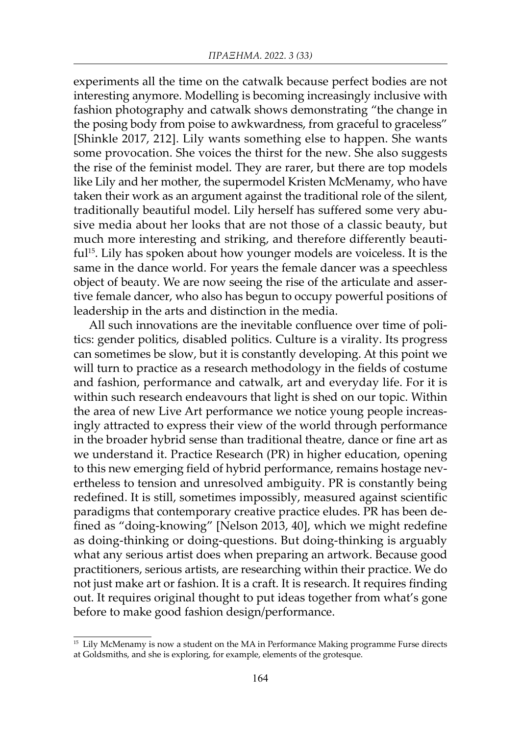experiments all the time on the catwalk because perfect bodies are not interesting anymore. Modelling is becoming increasingly inclusive with fashion photography and catwalk shows demonstrating "the change in the posing body from poise to awkwardness, from graceful to graceless" [Shinkle 2017, 212]. Lily wants something else to happen. She wants some provocation. She voices the thirst for the new. She also suggests the rise of the feminist model. They are rarer, but there are top models like Lily and her mother, the supermodel Kristen McMenamy, who have taken their work as an argument against the traditional role of the silent, traditionally beautiful model. Lily herself has suffered some very abusive media about her looks that are not those of a classic beauty, but much more interesting and striking, and therefore differently beautiful15. Lily has spoken about how younger models are voiceless. It is the same in the dance world. For years the female dancer was a speechless object of beauty. We are now seeing the rise of the articulate and assertive female dancer, who also has begun to occupy powerful positions of leadership in the arts and distinction in the media.

All such innovations are the inevitable confluence over time of politics: gender politics, disabled politics. Culture is a virality. Its progress can sometimes be slow, but it is constantly developing. At this point we will turn to practice as a research methodology in the fields of costume and fashion, performance and catwalk, art and everyday life. For it is within such research endeavours that light is shed on our topic. Within the area of new Live Art performance we notice young people increasingly attracted to express their view of the world through performance in the broader hybrid sense than traditional theatre, dance or fine art as we understand it. Practice Research (PR) in higher education, opening to this new emerging field of hybrid performance, remains hostage nevertheless to tension and unresolved ambiguity. PR is constantly being redefined. It is still, sometimes impossibly, measured against scientific paradigms that contemporary creative practice eludes. PR has been defined as "doing-knowing" [Nelson 2013, 40], which we might redefine as doing-thinking or doing-questions. But doing-thinking is arguably what any serious artist does when preparing an artwork. Because good practitioners, serious artists, are researching within their practice. We do not just make art or fashion. It is a craft. It is research. It requires finding out. It requires original thought to put ideas together from what's gone before to make good fashion design/performance.

<sup>&</sup>lt;sup>15</sup> Lily McMenamy is now a student on the MA in Performance Making programme Furse directs at Goldsmiths, and she is exploring, for example, elements of the grotesque.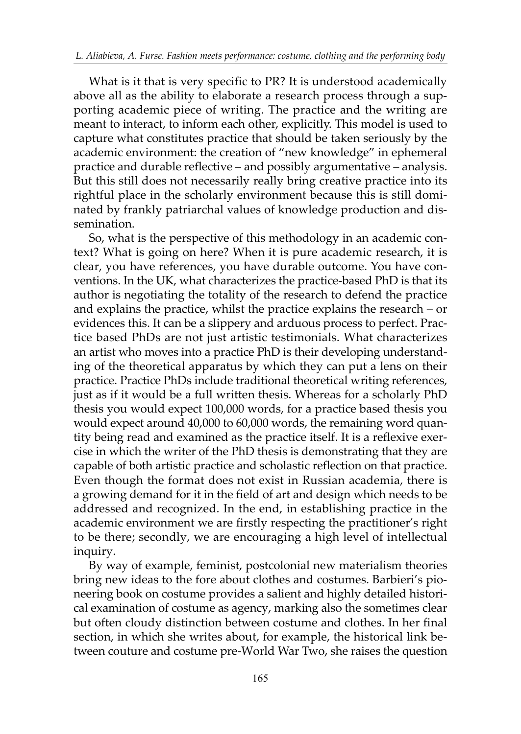What is it that is very specific to PR? It is understood academically above all as the ability to elaborate a research process through a supporting academic piece of writing. The practice and the writing are meant to interact, to inform each other, explicitly. This model is used to capture what constitutes practice that should be taken seriously by the academic environment: the creation of "new knowledge" in ephemeral practice and durable reflective – and possibly argumentative – analysis. But this still does not necessarily really bring creative practice into its rightful place in the scholarly environment because this is still dominated by frankly patriarchal values of knowledge production and dissemination.

So, what is the perspective of this methodology in an academic context? What is going on here? When it is pure academic research, it is clear, you have references, you have durable outcome. You have conventions. In the UK, what characterizes the practice-based PhD is that its author is negotiating the totality of the research to defend the practice and explains the practice, whilst the practice explains the research – or evidences this. It can be a slippery and arduous process to perfect. Practice based PhDs are not just artistic testimonials. What characterizes an artist who moves into a practice PhD is their developing understanding of the theoretical apparatus by which they can put a lens on their practice. Practice PhDs include traditional theoretical writing references, just as if it would be a full written thesis. Whereas for a scholarly PhD thesis you would expect 100,000 words, for a practice based thesis you would expect around 40,000 to 60,000 words, the remaining word quantity being read and examined as the practice itself. It is a reflexive exercise in which the writer of the PhD thesis is demonstrating that they are capable of both artistic practice and scholastic reflection on that practice. Even though the format does not exist in Russian academia, there is a growing demand for it in the field of art and design which needs to be addressed and recognized. In the end, in establishing practice in the academic environment we are firstly respecting the practitioner's right to be there; secondly, we are encouraging a high level of intellectual inquiry.

By way of example, feminist, postcolonial new materialism theories bring new ideas to the fore about clothes and costumes. Barbieri's pioneering book on costume provides a salient and highly detailed historical examination of costume as agency, marking also the sometimes clear but often cloudy distinction between costume and clothes. In her final section, in which she writes about, for example, the historical link between couture and costume pre-World War Two, she raises the question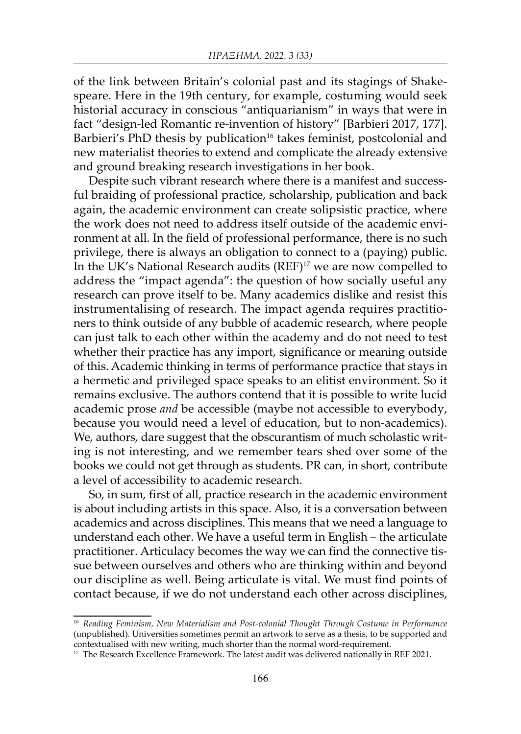of the link between Britain's colonial past and its stagings of Shakespeare. Here in the 19th century, for example, costuming would seek historial accuracy in conscious "antiquarianism" in ways that were in fact "design-led Romantic re-invention of history" [Barbieri 2017, 177]. Barbieri's PhD thesis by publication<sup>16</sup> takes feminist, postcolonial and new materialist theories to extend and complicate the already extensive and ground breaking research investigations in her book.

Despite such vibrant research where there is a manifest and successful braiding of professional practice, scholarship, publication and back again, the academic environment can create solipsistic practice, where the work does not need to address itself outside of the academic environment at all. In the field of professional performance, there is no such privilege, there is always an obligation to connect to a (paying) public. In the UK's National Research audits (REF)17 we are now compelled to address the "impact agenda": the question of how socially useful any research can prove itself to be. Many academics dislike and resist this instrumentalising of research. The impact agenda requires practitioners to think outside of any bubble of academic research, where people can just talk to each other within the academy and do not need to test whether their practice has any import, significance or meaning outside of this. Academic thinking in terms of performance practice that stays in a hermetic and privileged space speaks to an elitist environment. So it remains exclusive. The authors contend that it is possible to write lucid academic prose *and* be accessible (maybe not accessible to everybody, because you would need a level of education, but to non-academics). We, authors, dare suggest that the obscurantism of much scholastic writing is not interesting, and we remember tears shed over some of the books we could not get through as students. PR can, in short, contribute a level of accessibility to academic research.

So, in sum, first of all, practice research in the academic environment is about including artists in this space. Also, it is a conversation between academics and across disciplines. This means that we need a language to understand each other. We have a useful term in English – the articulate practitioner. Articulacy becomes the way we can find the connective tissue between ourselves and others who are thinking within and beyond our discipline as well. Being articulate is vital. We must find points of contact because, if we do not understand each other across disciplines,

<sup>16</sup> *Reading Feminism, New Materialism and Post-colonial Thought Through Costume in Performance* (unpublished). Universities sometimes permit an artwork to serve as a thesis, to be supported and contextualised with new writing, much shorter than the normal word-requirement.

<sup>&</sup>lt;sup>17</sup> The Research Excellence Framework. The latest audit was delivered nationally in REF 2021.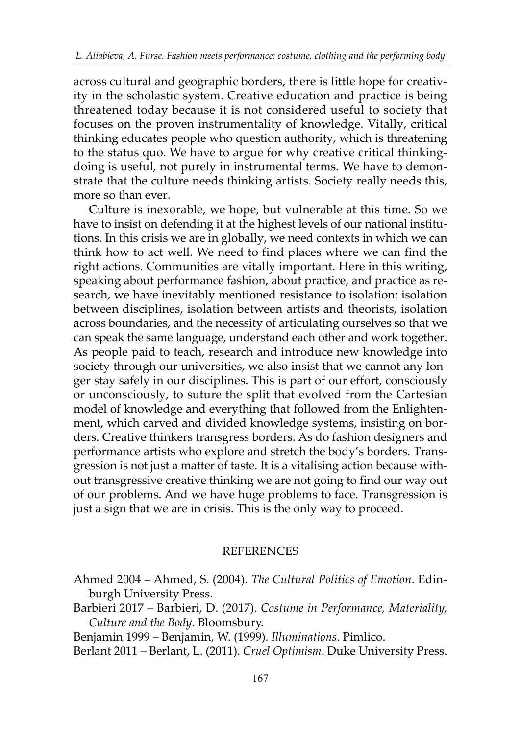across cultural and geographic borders, there is little hope for creativity in the scholastic system. Creative education and practice is being threatened today because it is not considered useful to society that focuses on the proven instrumentality of knowledge. Vitally, critical thinking educates people who question authority, which is threatening to the status quo. We have to argue for why creative critical thinkingdoing is useful, not purely in instrumental terms. We have to demonstrate that the culture needs thinking artists. Society really needs this, more so than ever.

Culture is inexorable, we hope, but vulnerable at this time. So we have to insist on defending it at the highest levels of our national institutions. In this crisis we are in globally, we need contexts in which we can think how to act well. We need to find places where we can find the right actions. Communities are vitally important. Here in this writing, speaking about performance fashion, about practice, and practice as research, we have inevitably mentioned resistance to isolation: isolation between disciplines, isolation between artists and theorists, isolation across boundaries, and the necessity of articulating ourselves so that we can speak the same language, understand each other and work together. As people paid to teach, research and introduce new knowledge into society through our universities, we also insist that we cannot any longer stay safely in our disciplines. This is part of our effort, consciously or unconsciously, to suture the split that evolved from the Cartesian model of knowledge and everything that followed from the Enlightenment, which carved and divided knowledge systems, insisting on borders. Creative thinkers transgress borders. As do fashion designers and performance artists who explore and stretch the body's borders. Transgression is not just a matter of taste. It is a vitalising action because without transgressive creative thinking we are not going to find our way out of our problems. And we have huge problems to face. Transgression is just a sign that we are in crisis. This is the only way to proceed.

## REFERENCES

Ahmed 2004 – Ahmed, S. (2004). *The Cultural Politics of Emotion*. Edinburgh University Press.

Barbieri 2017 – Barbieri, D. (2017). *Costume in Performance, Materiality, Culture and the Body*. Bloomsbury.

Benjamin 1999 – Benjamin, W. (1999). *Illuminations*. Pimlico.

Berlant 2011 – Berlant, L. (2011). *Cruel Optimism*. Duke University Press.